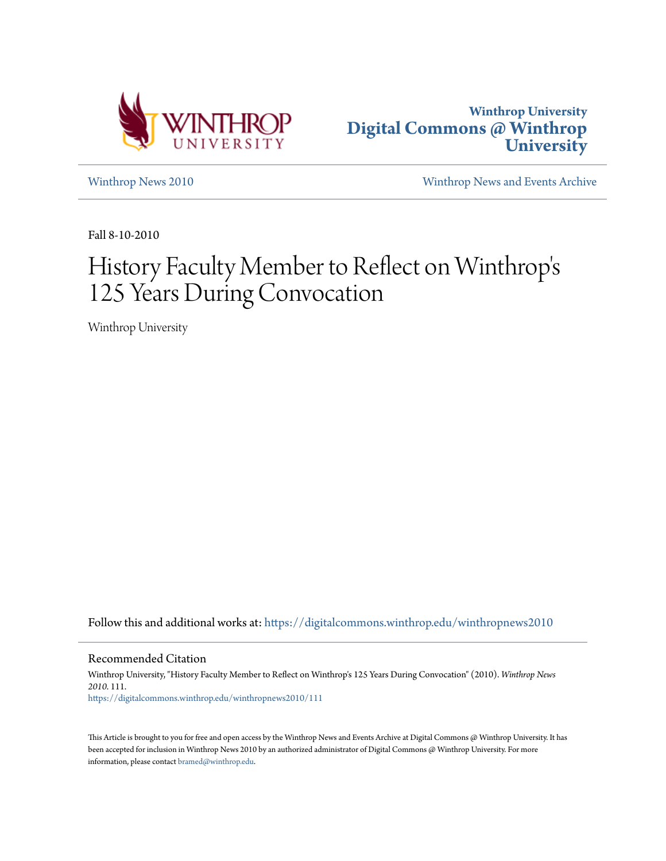



[Winthrop News 2010](https://digitalcommons.winthrop.edu/winthropnews2010?utm_source=digitalcommons.winthrop.edu%2Fwinthropnews2010%2F111&utm_medium=PDF&utm_campaign=PDFCoverPages) [Winthrop News and Events Archive](https://digitalcommons.winthrop.edu/winthropnewsarchives?utm_source=digitalcommons.winthrop.edu%2Fwinthropnews2010%2F111&utm_medium=PDF&utm_campaign=PDFCoverPages)

Fall 8-10-2010

### History Faculty Member to Reflect on Winthrop ' s 125 Years During Convocation

Winthrop University

Follow this and additional works at: [https://digitalcommons.winthrop.edu/winthropnews2010](https://digitalcommons.winthrop.edu/winthropnews2010?utm_source=digitalcommons.winthrop.edu%2Fwinthropnews2010%2F111&utm_medium=PDF&utm_campaign=PDFCoverPages)

Recommended Citation

Winthrop University, "History Faculty Member to Reflect on Winthrop's 125 Years During Convocation" (2010). *Winthrop News 2010*. 111. [https://digitalcommons.winthrop.edu/winthropnews2010/111](https://digitalcommons.winthrop.edu/winthropnews2010/111?utm_source=digitalcommons.winthrop.edu%2Fwinthropnews2010%2F111&utm_medium=PDF&utm_campaign=PDFCoverPages)

This Article is brought to you for free and open access by the Winthrop News and Events Archive at Digital Commons @ Winthrop University. It has been accepted for inclusion in Winthrop News 2010 by an authorized administrator of Digital Commons @ Winthrop University. For more information, please contact [bramed@winthrop.edu](mailto:bramed@winthrop.edu).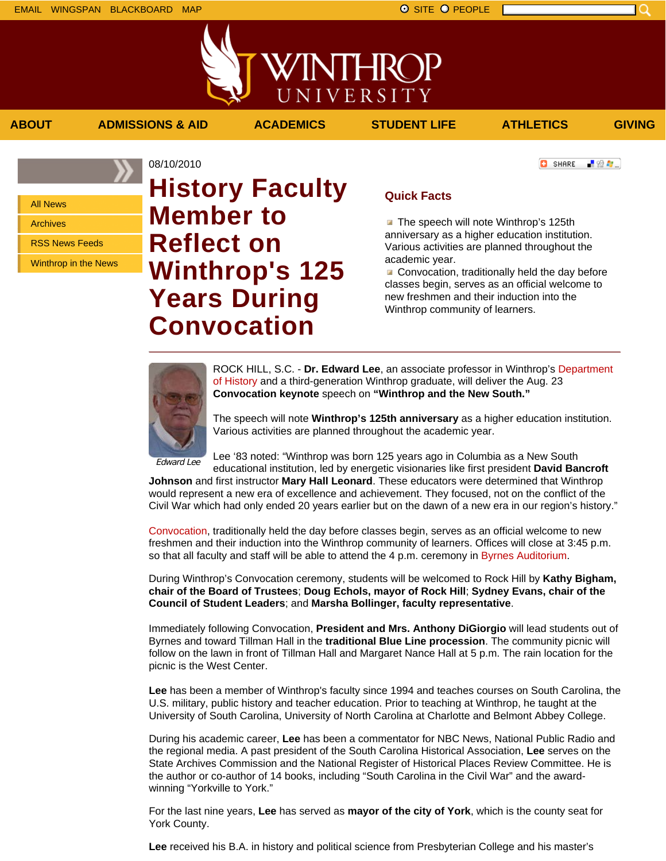**ABOUT ADMISSIONS & AID ACADEMICS STUDENT LIFE ATHLETICS GIVING**

**C** SHARE



上没有。

All News

Archives

RSS News Feeds

Winthrop in the News

# 08/10/2010 **History Faculty Member to Reflect on Winthrop's 125 Years During Convocation**

## **Quick Facts**

WINTHROP

UNIVERSITY

The speech will note Winthrop's 125th anniversary as a higher education institution. Various activities are planned throughout the academic year.

Convocation, traditionally held the day before classes begin, serves as an official welcome to new freshmen and their induction into the Winthrop community of learners.



ROCK HILL, S.C. - **Dr. Edward Lee**, an associate professor in Winthrop's Department of History and a third-generation Winthrop graduate, will deliver the Aug. 23 **Convocation keynote** speech on **"Winthrop and the New South."**

The speech will note **Winthrop's 125th anniversary** as a higher education institution. Various activities are planned throughout the academic year.

Edward Lee

Lee '83 noted: "Winthrop was born 125 years ago in Columbia as a New South educational institution, led by energetic visionaries like first president **David Bancroft**

**Johnson** and first instructor **Mary Hall Leonard**. These educators were determined that Winthrop would represent a new era of excellence and achievement. They focused, not on the conflict of the Civil War which had only ended 20 years earlier but on the dawn of a new era in our region's history."

Convocation, traditionally held the day before classes begin, serves as an official welcome to new freshmen and their induction into the Winthrop community of learners. Offices will close at 3:45 p.m. so that all faculty and staff will be able to attend the 4 p.m. ceremony in Byrnes Auditorium.

During Winthrop's Convocation ceremony, students will be welcomed to Rock Hill by **Kathy Bigham, chair of the Board of Trustees**; **Doug Echols, mayor of Rock Hill**; **Sydney Evans, chair of the Council of Student Leaders**; and **Marsha Bollinger, faculty representative**.

Immediately following Convocation, **President and Mrs. Anthony DiGiorgio** will lead students out of Byrnes and toward Tillman Hall in the **traditional Blue Line procession**. The community picnic will follow on the lawn in front of Tillman Hall and Margaret Nance Hall at 5 p.m. The rain location for the picnic is the West Center.

**Lee** has been a member of Winthrop's faculty since 1994 and teaches courses on South Carolina, the U.S. military, public history and teacher education. Prior to teaching at Winthrop, he taught at the University of South Carolina, University of North Carolina at Charlotte and Belmont Abbey College.

During his academic career, **Lee** has been a commentator for NBC News, National Public Radio and the regional media. A past president of the South Carolina Historical Association, **Lee** serves on the State Archives Commission and the National Register of Historical Places Review Committee. He is the author or co-author of 14 books, including "South Carolina in the Civil War" and the awardwinning "Yorkville to York."

For the last nine years, **Lee** has served as **mayor of the city of York**, which is the county seat for York County.

**Lee** received his B.A. in history and political science from Presbyterian College and his master's